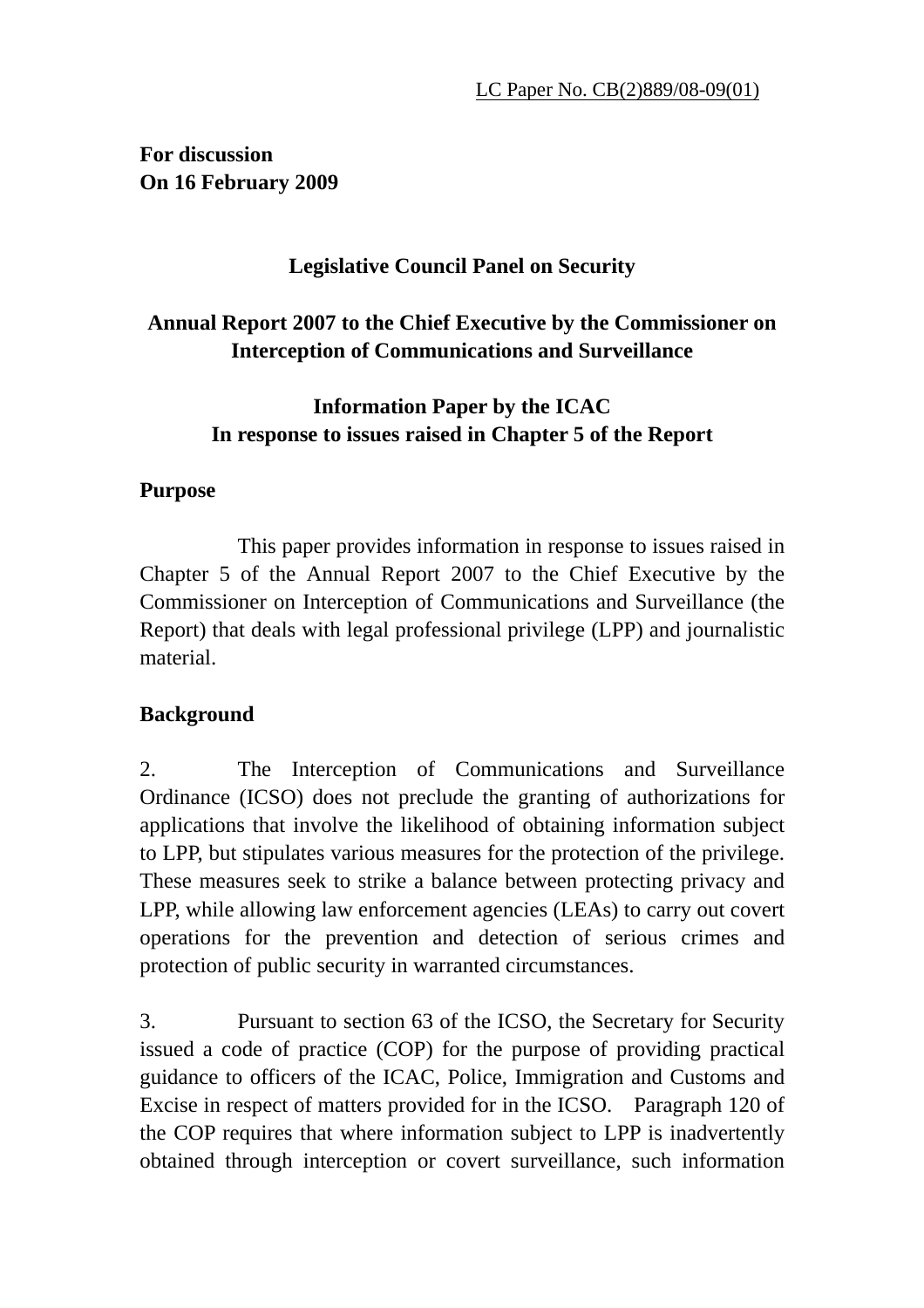**For discussion On 16 February 2009** 

## **Legislative Council Panel on Security**

## **Annual Report 2007 to the Chief Executive by the Commissioner on Interception of Communications and Surveillance**

## **Information Paper by the ICAC In response to issues raised in Chapter 5 of the Report**

#### **Purpose**

 This paper provides information in response to issues raised in Chapter 5 of the Annual Report 2007 to the Chief Executive by the Commissioner on Interception of Communications and Surveillance (the Report) that deals with legal professional privilege (LPP) and journalistic material.

#### **Background**

2. The Interception of Communications and Surveillance Ordinance (ICSO) does not preclude the granting of authorizations for applications that involve the likelihood of obtaining information subject to LPP, but stipulates various measures for the protection of the privilege. These measures seek to strike a balance between protecting privacy and LPP, while allowing law enforcement agencies (LEAs) to carry out covert operations for the prevention and detection of serious crimes and protection of public security in warranted circumstances.

3. Pursuant to section 63 of the ICSO, the Secretary for Security issued a code of practice (COP) for the purpose of providing practical guidance to officers of the ICAC, Police, Immigration and Customs and Excise in respect of matters provided for in the ICSO. Paragraph 120 of the COP requires that where information subject to LPP is inadvertently obtained through interception or covert surveillance, such information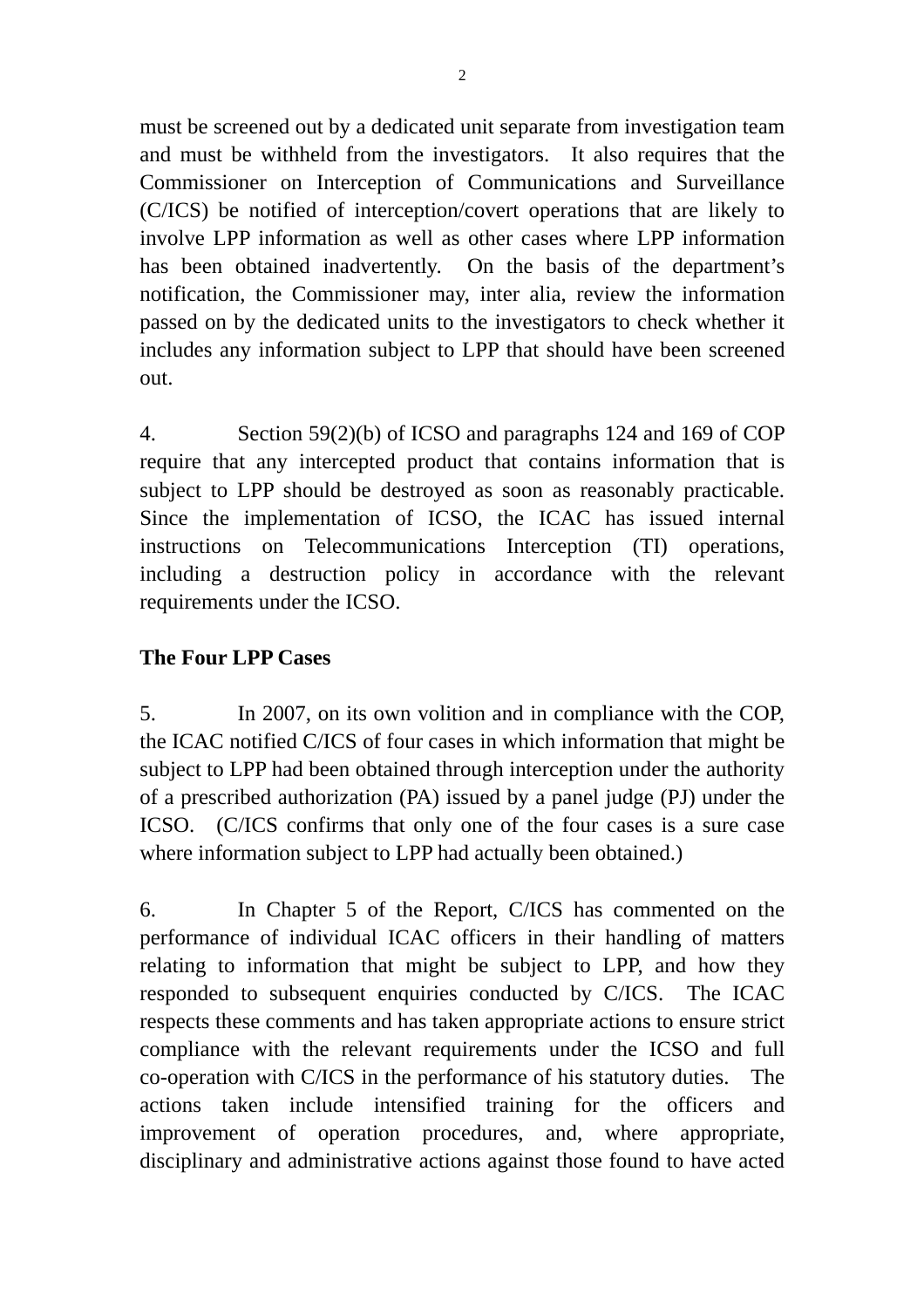must be screened out by a dedicated unit separate from investigation team and must be withheld from the investigators. It also requires that the Commissioner on Interception of Communications and Surveillance (C/ICS) be notified of interception/covert operations that are likely to involve LPP information as well as other cases where LPP information has been obtained inadvertently. On the basis of the department's notification, the Commissioner may, inter alia, review the information passed on by the dedicated units to the investigators to check whether it includes any information subject to LPP that should have been screened out.

4. Section 59(2)(b) of ICSO and paragraphs 124 and 169 of COP require that any intercepted product that contains information that is subject to LPP should be destroyed as soon as reasonably practicable. Since the implementation of ICSO, the ICAC has issued internal instructions on Telecommunications Interception (TI) operations, including a destruction policy in accordance with the relevant requirements under the ICSO.

#### **The Four LPP Cases**

5. In 2007, on its own volition and in compliance with the COP, the ICAC notified C/ICS of four cases in which information that might be subject to LPP had been obtained through interception under the authority of a prescribed authorization (PA) issued by a panel judge (PJ) under the ICSO. (C/ICS confirms that only one of the four cases is a sure case where information subject to LPP had actually been obtained.)

6. In Chapter 5 of the Report, C/ICS has commented on the performance of individual ICAC officers in their handling of matters relating to information that might be subject to LPP, and how they responded to subsequent enquiries conducted by C/ICS. The ICAC respects these comments and has taken appropriate actions to ensure strict compliance with the relevant requirements under the ICSO and full co-operation with C/ICS in the performance of his statutory duties. The actions taken include intensified training for the officers and improvement of operation procedures, and, where appropriate, disciplinary and administrative actions against those found to have acted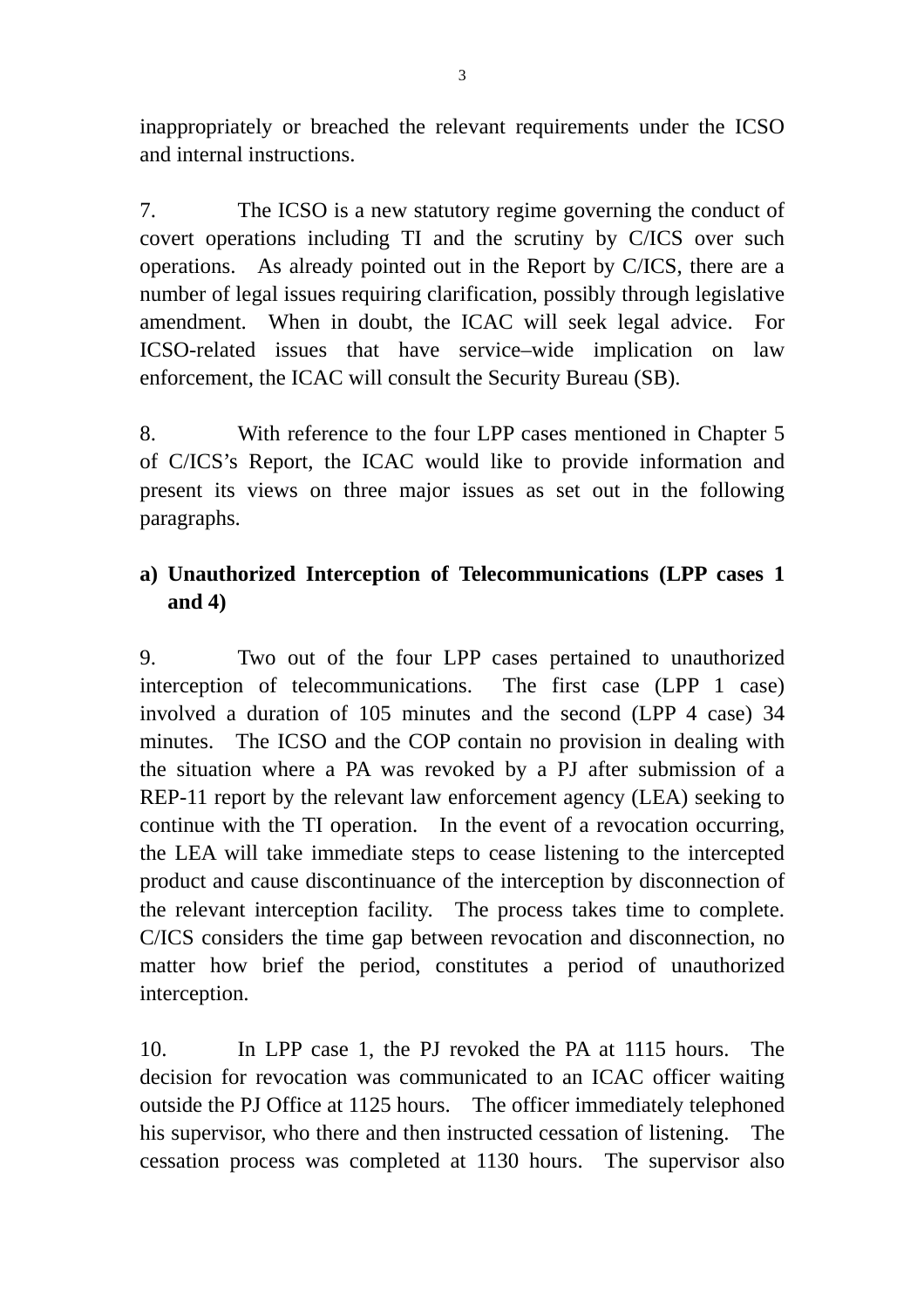inappropriately or breached the relevant requirements under the ICSO and internal instructions.

7. The ICSO is a new statutory regime governing the conduct of covert operations including TI and the scrutiny by C/ICS over such operations. As already pointed out in the Report by C/ICS, there are a number of legal issues requiring clarification, possibly through legislative amendment. When in doubt, the ICAC will seek legal advice. For ICSO-related issues that have service–wide implication on law enforcement, the ICAC will consult the Security Bureau (SB).

8. With reference to the four LPP cases mentioned in Chapter 5 of C/ICS's Report, the ICAC would like to provide information and present its views on three major issues as set out in the following paragraphs.

## **a) Unauthorized Interception of Telecommunications (LPP cases 1 and 4)**

9. Two out of the four LPP cases pertained to unauthorized interception of telecommunications. The first case (LPP 1 case) involved a duration of 105 minutes and the second (LPP 4 case) 34 minutes. The ICSO and the COP contain no provision in dealing with the situation where a PA was revoked by a PJ after submission of a REP-11 report by the relevant law enforcement agency (LEA) seeking to continue with the TI operation. In the event of a revocation occurring, the LEA will take immediate steps to cease listening to the intercepted product and cause discontinuance of the interception by disconnection of the relevant interception facility. The process takes time to complete. C/ICS considers the time gap between revocation and disconnection, no matter how brief the period, constitutes a period of unauthorized interception.

10. In LPP case 1, the PJ revoked the PA at 1115 hours. The decision for revocation was communicated to an ICAC officer waiting outside the PJ Office at 1125 hours. The officer immediately telephoned his supervisor, who there and then instructed cessation of listening. The cessation process was completed at 1130 hours. The supervisor also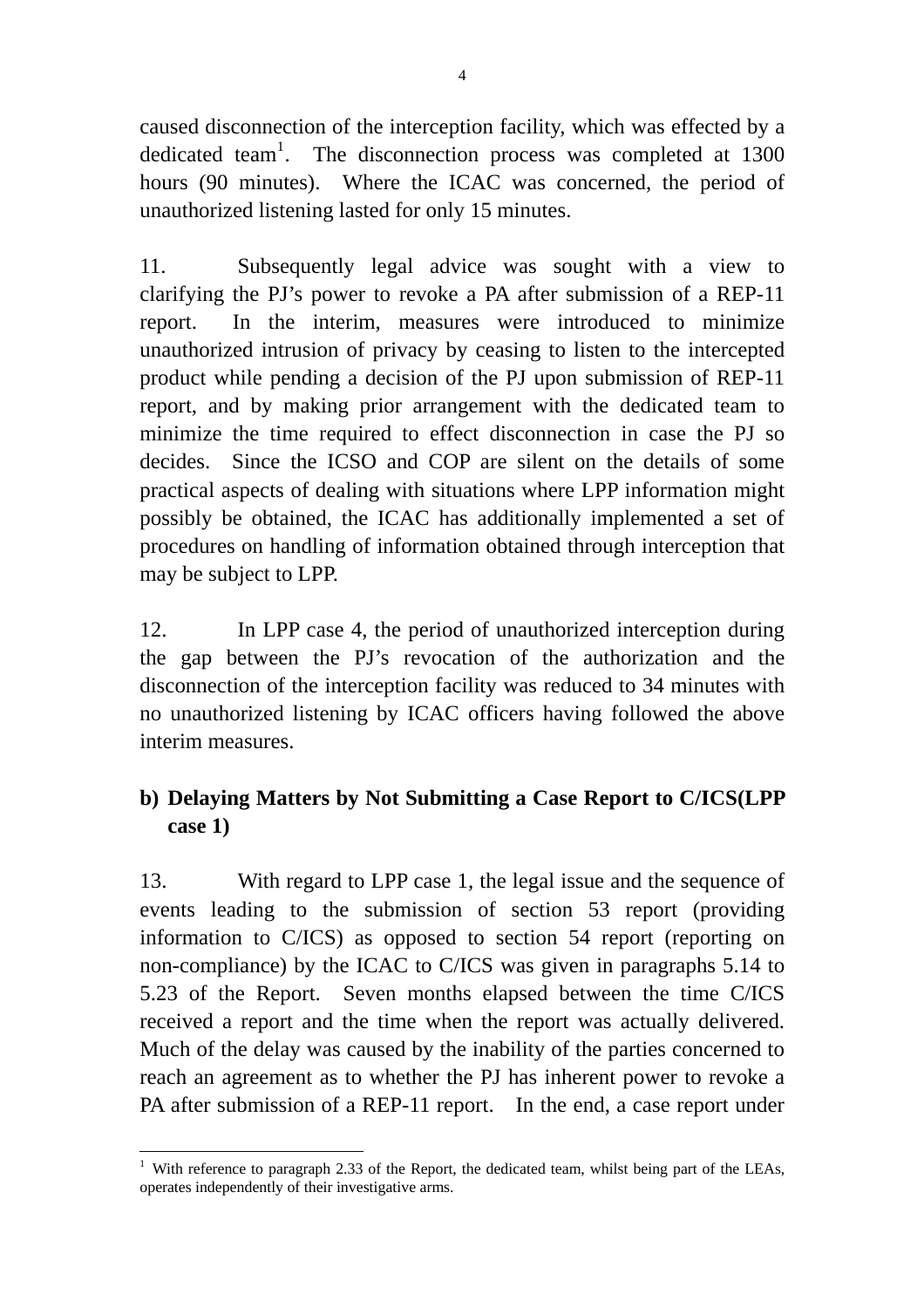caused disconnection of the interception facility, which was effected by a dedicated team<sup>1</sup>. The disconnection process was completed at  $1300$ hours (90 minutes). Where the ICAC was concerned, the period of unauthorized listening lasted for only 15 minutes.

11. Subsequently legal advice was sought with a view to clarifying the PJ's power to revoke a PA after submission of a REP-11 report. In the interim, measures were introduced to minimize unauthorized intrusion of privacy by ceasing to listen to the intercepted product while pending a decision of the PJ upon submission of REP-11 report, and by making prior arrangement with the dedicated team to minimize the time required to effect disconnection in case the PJ so decides. Since the ICSO and COP are silent on the details of some practical aspects of dealing with situations where LPP information might possibly be obtained, the ICAC has additionally implemented a set of procedures on handling of information obtained through interception that may be subject to LPP.

12. In LPP case 4, the period of unauthorized interception during the gap between the PJ's revocation of the authorization and the disconnection of the interception facility was reduced to 34 minutes with no unauthorized listening by ICAC officers having followed the above interim measures.

# **b) Delaying Matters by Not Submitting a Case Report to C/ICS(LPP case 1)**

13. With regard to LPP case 1, the legal issue and the sequence of events leading to the submission of section 53 report (providing information to C/ICS) as opposed to section 54 report (reporting on non-compliance) by the ICAC to C/ICS was given in paragraphs 5.14 to 5.23 of the Report. Seven months elapsed between the time C/ICS received a report and the time when the report was actually delivered. Much of the delay was caused by the inability of the parties concerned to reach an agreement as to whether the PJ has inherent power to revoke a PA after submission of a REP-11 report. In the end, a case report under

 $\overline{a}$ <sup>1</sup> With reference to paragraph 2.33 of the Report, the dedicated team, whilst being part of the LEAs, operates independently of their investigative arms.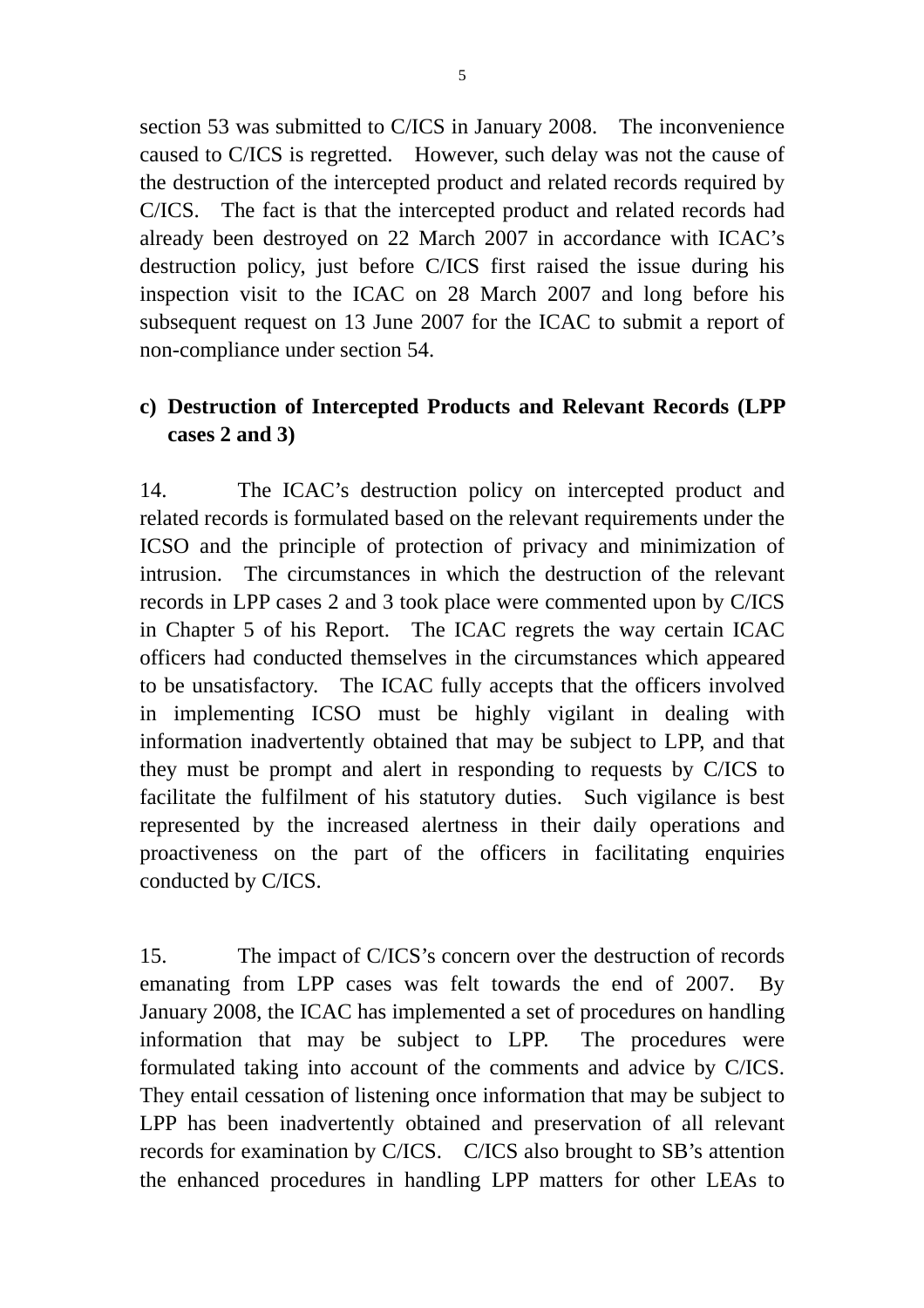section 53 was submitted to C/ICS in January 2008. The inconvenience caused to C/ICS is regretted. However, such delay was not the cause of the destruction of the intercepted product and related records required by C/ICS. The fact is that the intercepted product and related records had already been destroyed on 22 March 2007 in accordance with ICAC's destruction policy, just before C/ICS first raised the issue during his inspection visit to the ICAC on 28 March 2007 and long before his subsequent request on 13 June 2007 for the ICAC to submit a report of non-compliance under section 54.

### **c) Destruction of Intercepted Products and Relevant Records (LPP cases 2 and 3)**

14. The ICAC's destruction policy on intercepted product and related records is formulated based on the relevant requirements under the ICSO and the principle of protection of privacy and minimization of intrusion. The circumstances in which the destruction of the relevant records in LPP cases 2 and 3 took place were commented upon by C/ICS in Chapter 5 of his Report. The ICAC regrets the way certain ICAC officers had conducted themselves in the circumstances which appeared to be unsatisfactory. The ICAC fully accepts that the officers involved in implementing ICSO must be highly vigilant in dealing with information inadvertently obtained that may be subject to LPP, and that they must be prompt and alert in responding to requests by C/ICS to facilitate the fulfilment of his statutory duties. Such vigilance is best represented by the increased alertness in their daily operations and proactiveness on the part of the officers in facilitating enquiries conducted by C/ICS.

15. The impact of C/ICS's concern over the destruction of records emanating from LPP cases was felt towards the end of 2007. By January 2008, the ICAC has implemented a set of procedures on handling information that may be subject to LPP. The procedures were formulated taking into account of the comments and advice by C/ICS. They entail cessation of listening once information that may be subject to LPP has been inadvertently obtained and preservation of all relevant records for examination by C/ICS. C/ICS also brought to SB's attention the enhanced procedures in handling LPP matters for other LEAs to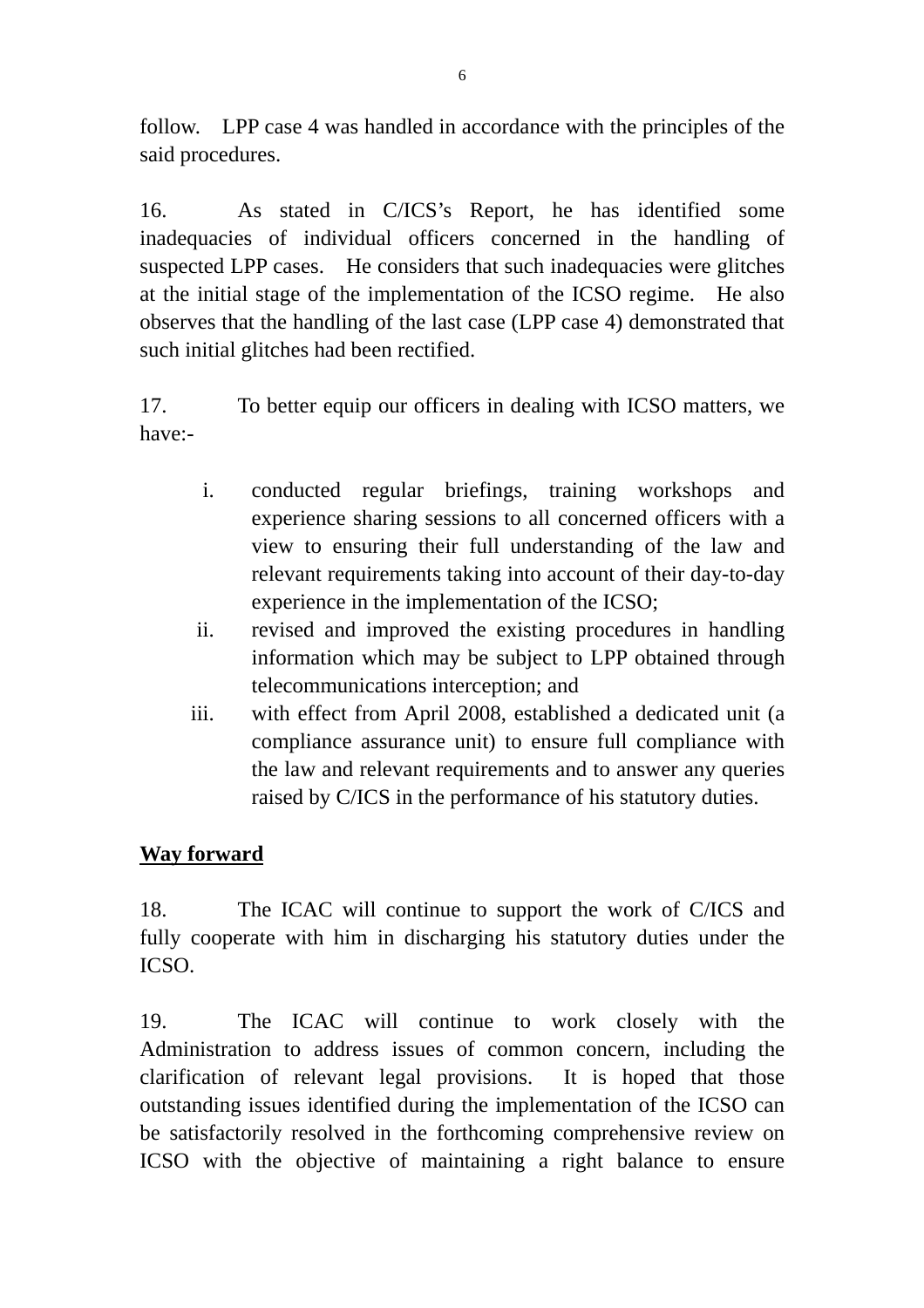follow. LPP case 4 was handled in accordance with the principles of the said procedures.

16. As stated in C/ICS's Report, he has identified some inadequacies of individual officers concerned in the handling of suspected LPP cases. He considers that such inadequacies were glitches at the initial stage of the implementation of the ICSO regime. He also observes that the handling of the last case (LPP case 4) demonstrated that such initial glitches had been rectified.

17. To better equip our officers in dealing with ICSO matters, we have:-

- i. conducted regular briefings, training workshops and experience sharing sessions to all concerned officers with a view to ensuring their full understanding of the law and relevant requirements taking into account of their day-to-day experience in the implementation of the ICSO;
- ii. revised and improved the existing procedures in handling information which may be subject to LPP obtained through telecommunications interception; and
- iii. with effect from April 2008, established a dedicated unit (a compliance assurance unit) to ensure full compliance with the law and relevant requirements and to answer any queries raised by C/ICS in the performance of his statutory duties.

#### **Way forward**

18. The ICAC will continue to support the work of C/ICS and fully cooperate with him in discharging his statutory duties under the ICSO.

19. The ICAC will continue to work closely with the Administration to address issues of common concern, including the clarification of relevant legal provisions. It is hoped that those outstanding issues identified during the implementation of the ICSO can be satisfactorily resolved in the forthcoming comprehensive review on ICSO with the objective of maintaining a right balance to ensure